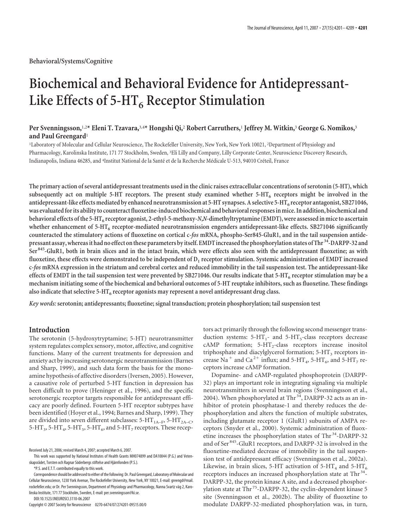# **Biochemical and Behavioral Evidence for Antidepressant-**Like Effects of 5-HT<sub>6</sub> Receptor Stimulation

# **Per Svenningsson,**1,2**\* Eleni T. Tzavara,**3,4**\* Hongshi Qi,**<sup>2</sup> **Robert Carruthers,**<sup>1</sup> **Jeffrey M. Witkin,**<sup>3</sup> **George G. Nomikos,**<sup>3</sup> **and Paul Greengard**<sup>1</sup>

1 Laboratory of Molecular and Cellular Neuroscience, The Rockefeller University, New York, New York 10021, <sup>2</sup> Department of Physiology and Pharmacology, Karolinska Institute, 171 77 Stockholm, Sweden, <sup>3</sup> Eli Lilly and Company, Lilly Corporate Center, Neuroscience Discovery Research, Indianapolis, Indiana 46285, and <sup>4</sup>Institut National de la Santé et de la Recherche Médicale U-513, 94010 Créteil, France

**The primary action of several antidepressant treatments used in the clinic raises extracellular concentrations of serotonin (5-HT), which** subsequently act on multiple 5-HT receptors. The present study examined whether 5-HT<sub>6</sub> receptors might be involved in the antidepressant-like effects mediated by enhanced neurotransmission at 5-HT synapses. A selective 5-HT<sub>6</sub> receptor antagonist, SB271046, was evaluated for its ability to counteract fluoxetine-induced biochemical and behavioral responses in mice. In addition, biochemical and **behavioral effects ofthe 5-HT6 receptor agonist, 2-ethyl-5-methoxy-***N***,***N-***dimethyltryptamine (EMDT), were assessed in miceto ascertain** whether enhancement of 5-HT<sub>6</sub> receptor-mediated neurotransmission engenders antidepressant-like effects. SB271046 significantly **counteracted the stimulatory actions of fluoxetine on cortical c-***fos* **mRNA, phospho-Ser845-GluR1, and in the tail suspension antidepressant assay,whereasithad no effect onthese parameters byitself. EMDTincreasedthe phosphorylation states of Thr 34-DARPP-32 and Ser 845-GluR1, both in brain slices and in the intact brain, which were effects also seen with the antidepressant fluoxetine; as with** fluoxetine, these effects were demonstrated to be independent of D<sub>1</sub> receptor stimulation. Systemic administration of EMDT increased **c-***fos* **mRNA expression in the striatum and cerebral cortex and reduced immobility in the tail suspension test. The antidepressant-like effects of EMDT in the tail suspension test were prevented by SB271046. Our results indicate that 5-HT6 receptor stimulation may be a mechanism initiating some of the biochemical and behavioral outcomes of 5-HT reuptake inhibitors, such as fluoxetine. These findings also indicate that selective 5-HT6 receptor agonists may represent a novel antidepressant drug class.**

*Key words:* **serotonin; antidepressants; fluoxetine; signal transduction; protein phosphorylation; tail suspension test**

# **Introduction**

The serotonin (5-hydroxytryptamine; 5-HT) neurotransmitter system regulates complex sensory, motor, affective, and cognitive functions. Many of the current treatments for depression and anxiety act by increasing serotonergic neurotransmission (Barnes and Sharp, 1999), and such data form the basis for the monoamine hypothesis of affective disorders (Iversen, 2005). However, a causative role of perturbed 5-HT function in depression has been difficult to prove (Heninger et al., 1996), and the specific serotonergic receptor targets responsible for antidepressant efficacy are poorly defined. Fourteen 5-HT receptor subtypes have been identified (Hoyer et al., 1994; Barnes and Sharp, 1999). They are divided into seven different subclasses:  $5-HT<sub>1A-F</sub>$ ,  $5-HT<sub>2A-C</sub>$ , 5-HT<sub>3</sub>, 5-HT<sub>4</sub>, 5-HT<sub>5</sub>, 5-HT<sub>6</sub>, and 5-HT<sub>7</sub> receptors. These recep-

DOI:10.1523/JNEUROSCI.3110-06.2007

Copyright © 2007 Society for Neuroscience 0270-6474/07/274201-09\$15.00/0

tors act primarily through the following second messenger transduction systems:  $5-HT_1$ - and  $5-HT_5$ -class receptors decrease cAMP formation;  $5-HT_2$ -class receptors increase inositol triphosphate and diacylglycerol formation;  $5-HT<sub>3</sub>$  receptors increase Na<sup>+</sup> and Ca<sup>2+</sup> influx; and 5-HT<sub>4</sub>, 5-HT<sub>6</sub>, and 5-HT<sub>7</sub> receptors increase cAMP formation.

Dopamine- and cAMP-regulated phosphoprotein (DARPP-32) plays an important role in integrating signaling via multiple neurotransmitters in several brain regions (Svenningsson et al., 2004). When phosphorylated at Thr<sup>34</sup>, DARPP-32 acts as an inhibitor of protein phosphatase-1 and thereby reduces the dephosphorylation and alters the function of multiple substrates, including glutamate receptor 1 (GluR1) subunits of AMPA receptors (Snyder et al., 2000). Systemic administration of fluoxetine increases the phosphorylation states of Thr<sup>34</sup>-DARPP-32 and of Ser 845-GluR1 receptors, and DARPP-32 is involved in the fluoxetine-mediated decrease of immobility in the tail suspension test of antidepressant efficacy (Svenningsson et al., 2002a). Likewise, in brain slices, 5-HT activation of  $5-HT_4$  and  $5-HT_6$ receptors induces an increased phosphorylation state at Thr<sup>34</sup>-DARPP-32, the protein kinase A site, and a decreased phosphorylation state at Thr<sup>75</sup>-DARPP-32, the cyclin-dependent kinase 5 site (Svenningsson et al., 2002b). The ability of fluoxetine to modulate DARPP-32-mediated phosphorylation was, in turn,

Received July 21, 2006; revised March 4, 2007; accepted March 6, 2007.

This work was supported by National Institutes of Health Grants MH074899 and DA10044 (P.G.) and Vetenskapsrådet, Torsten och Ragnar Söderbergs stiftelse and Hjärnfonden (P.S.).

<sup>\*</sup>P.S. and E.T.T. contributed equally to this work.

Correspondence should be addressed to either of the following: Dr. Paul Greengard, Laboratory of Molecular and Cellular Neuroscience, 1230 York Avenue, The Rockefeller University, New York, NY 10021, E-mail: greengd@mail. rockefeller.edu; or Dr. Per Svenningsson, Department of Physiology and Pharmacology, Nanna Svartz väg 2, Karolinska Institute, 171 77 Stockholm, Sweden, E-mail: per.svenningsson@ki.se.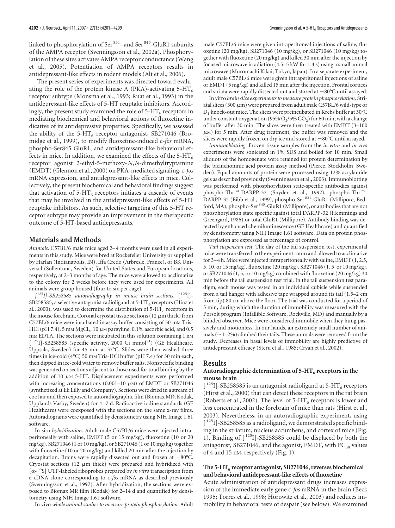linked to phosphorylation of Ser<sup>831</sup>- and Ser<sup>845</sup>-GluR1 subunits of the AMPA receptor (Svenningsson et al., 2002a). Phosphorylation of these sites activates AMPA receptor conductance (Wang et al., 2005). Potentiation of AMPA receptors results in antidepressant-like effects in rodent models (Alt et al., 2006).

The present series of experiments was directed toward evaluating the role of the protein kinase A (PKA)-activating  $5-HT<sub>6</sub>$ receptor subtype (Monsma et al., 1993; Ruat et al., 1993) in the antidepressant-like effects of 5-HT reuptake inhibitors. Accordingly, the present study examined the role of  $5-HT_6$  receptors in mediating biochemical and behavioral actions of fluoxetine indicative of its antidepressive properties. Specifically, we assessed the ability of the 5-HT<sub>6</sub> receptor antagonist, SB271046 (Bromidge et al., 1999), to modify fluoxetine-induced c-*fos* mRNA, phospho-Ser845 GluR1, and antidepressant-like behavioral effects in mice. In addition, we examined the effects of the  $5-HT<sub>6</sub>$ receptor agonist 2-ethyl-5-methoxy-*N*,*N-*dimethyltryptamine (EMDT) (Glennon et al., 2000) on PKA-mediated signaling, c-*fos* mRNA expression, and antidepressant-like effects in mice. Collectively, the present biochemical and behavioral findings suggest that activation of  $5-HT_6$  receptors initiates a cascade of events that may be involved in the antidepressant-like effects of 5-HT reuptake inhibitors. As such, selective targeting of this 5-HT receptor subtype may provide an improvement in the therapeutic outcome of 5-HT-based antidepressants.

### **Materials and Methods**

*Animals*. C57BL/6 male mice aged 2– 4 months were used in all experiments in this study. Mice were bred at Rockefeller University or supplied by Harlan (Indianapolis, IN), Iffa Credo (Arbresle, France), or BK Universal (Sollentuna, Sweden) for United States and European locations, respectively, at 2–3 months of age. The mice were allowed to acclimatize to the colony for 2 weeks before they were used for experiments. All animals were group housed (four to six per cage).

*[ 125I]-SB258585 autoradiography in mouse brain sections*. [ 125I]- SB258585, a selective antagonist radioligand at  $5-HT<sub>6</sub>$  receptors (Hirst et al., 2000), was used to determine the distribution of  $5-HT_6$  receptors in the mouse forebrain. Coronal cryostat tissue sections (12  $\mu$ m thick) from C57BL/6 mice were incubated in assay buffer consisting of 50 mm Tris-HCl (pH 7.4), 5 mm MgCl<sub>2</sub>, 10  $\mu$ m pargyline, 0.1% ascorbic acid, and 0.5 m<sub>M</sub> EDTA. The sections were incubated in this solution containing 1 nM  $[$ <sup>125</sup>I]-SB258585 (specific activity, 2000 Ci mmol<sup>-1</sup>) (GE Healthcare, Uppsala, Sweden) for 45 min at 37°C. Slides were then washed three times in ice-cold (4°C) 50 mm Tris-HCl buffer (pH 7.4) for 30 min each, then dipped in ice-cold water to remove buffer salts. Nonspecific binding was generated on sections adjacent to those used for total binding by the addition of 10  $\mu$ M 5-HT. Displacement experiments were performed with increasing concentrations (0.001–10  $\mu$ M) of EMDT or SB271046 (synthetized at Eli Lilly and Company). Sections were dried in a stream of cool air and then exposed to autoradiographic film (Biomax MR; Kodak, Upplands Vasby, Sweden) for 4 –7 d. Radioactive iodine standards (GE Healthcare) were coexposed with the sections on the same x-ray films. Autoradiograms were quantified by densitometry using NIH Image 1.61 software.

In situ *hybridization*. Adult male C57BL/6 mice were injected intraperitoneally with saline, EMDT (5 or 15 mg/kg), fluoxetine (10 or 20 mg/kg), SB271046 (1 or 10 mg/kg), or SB271046 (1 or 10 mg/kg) together with fluoxetine (10 or 20 mg/kg) and killed 20 min after the injection by decapitation. Brains were rapidly dissected out and frozen at  $-80^{\circ}$ C. Cryostat sections (12  $\mu$ m thick) were prepared and hybridized with [ $\alpha$ <sup>-35</sup>S] UTP-labeled riboprobes prepared by *in vitro* transcription from a cDNA clone corresponding to c-*fos* mRNA as described previously (Svenningsson et al., 1997). After hybridization, the sections were exposed to Biomax MR film (Kodak) for 2–14 d and quantified by densitometry using NIH Image 1.61 software.

In vivo *whole animal studies to measure protein phosphorylation*. Adult

male C57BL/6 mice were given intraperitoneal injections of saline, fluoxetine (20 mg/kg), SB271046 (10 mg/kg), or SB271046 (10 mg/kg) together with fluoxetine (20 mg/kg) and killed 30 min after the injection by focused microwave irradiation (4.5–5 kW for 1.4 s) using a small animal microwave (Muromachi Kikai, Tokyo, Japan). In a separate experiment, adult male C57BL/6 mice were given intraperitoneal injections of saline or EMDT (5 mg/kg) and killed 15 min after the injection. Frontal cortices and striata were rapidly dissected out and stored at  $-80^{\circ}$ C until assayed.

In vitro *brain slice experiments to measure protein phosphorylation*. Striatal slices (300  $\mu$ m) were prepared from adult male C57BL/6 wild-type or  $D_1$  knock-out mice. The slices were preincubated in Krebs buffer at 30°C under constant oxygenation (95%  $O_2/5$ %  $CO_2$ ) for 60 min, with a change of buffer after 30 min. The slices were then treated with EMDT (3–100  $\mu$ M) for 5 min. After drug treatment, the buffer was removed and the slices were rapidly frozen on dry ice and stored at  $-80^{\circ}$ C until assayed.

*Immunoblotting*. Frozen tissue samples from the *in vitro* and *in vivo* experiments were sonicated in 1% SDS and boiled for 10 min. Small aliquots of the homogenate were retained for protein determination by the bicinchoninic acid protein assay method (Pierce, Stockholm, Sweden). Equal amounts of protein were processed using 12% acrylamide gels as described previously (Svenningsson et al., 2003). Immunoblotting was performed with phosphorylation state-specific antibodies against phospho-Thr<sup>34</sup>-DARPP-32 (Snyder et al., 1992), phospho-Thr<sup>75</sup>-DARPP-32 (Bibb et al., 1999), phospho-Ser<sup>831</sup>-GluR1 (Millipore, Bedford, MA), phospho-Ser 845-GluR1 (Millipore), or antibodies that are not phosphorylation state specific against total DARPP-32 (Hemmings and Greengard, 1986) or total GluR1 (Millipore). Antibody binding was detected by enhanced chemiluminescence (GE Healthcare) and quantified by densitometry using NIH Image 1.61 software. Data on protein phosphorylation are expressed as percentage of control.

*Tail suspension test*. The day of the tail suspension test, experimental mice were transferred to the experiment room and allowed to acclimatize for 3– 4 h. Mice were injected intraperitoneally with saline, EMDT (1, 2.5, 5, 10, or 15 mg/kg), fluoxetine (20 mg/kg), SB271046 (1, 5, or 10 mg/kg), or SB271046 (1, 5, or 10 mg/kg) combined with fluoxetine (20 mg/kg) 30 min before the tail suspension test trial. In the tail suspension test paradigm, each mouse was tested in an individual cubicle while suspended from a tail hanger with adhesive tape wrapped around its tail (1.5–2 cm from tip) 80 cm above the floor. The trial was conducted for a period of 5 min, during which the duration of immobility was measured with the Porsolt program (Infallible Software, Rockville, MD) and manually by a blinded observer. Mice were considered immobile when they hung passively and motionless. In our hands, an extremely small number of animals ( $\sim$ 1–2%) climbed their tails. These animals were removed from the study. Decreases in basal levels of immobility are highly predictive of antidepressant efficacy (Steru et al., 1985; Cryan et al., 2002).

#### **Results**

#### Autoradiographic determination of 5-HT<sub>6</sub> receptors in the **mouse brain**

 $\lceil$   $^{125}$  I]-SB258585 is an antagonist radioligand at 5-HT<sub>6</sub> receptors (Hirst et al., 2000) that can detect these receptors in the rat brain (Roberts et al., 2002). The level of  $5-HT<sub>6</sub>$  receptors is lower and less concentrated in the forebrain of mice than rats (Hirst et al., 2003). Nevertheless, in an autoradiographic experiment, using [ $125$ ]-SB258585 as a radioligand, we demonstrated specific binding in the striatum, nucleus accumbens, and cortex of mice (Fig. 1). Binding of  $\lceil$ <sup>125</sup>I]-SB258585 could be displaced by both the antagonist, SB271046, and the agonist, EMDT, with  $EC_{50}$  values of 4 and 15 nM, respectively (Fig. 1).

## The 5-HT<sub>6</sub> receptor antagonist, SB271046, reverses biochemical **and behavioral antidepressant-like effects of fluoxetine**

Acute administration of antidepressant drugs increases expression of the immediate early gene c-*fos* mRNA in the brain (Beck 1995; Torres et al., 1998; Horowitz et al., 2003) and reduces immobility in behavioral tests of despair (see below). We examined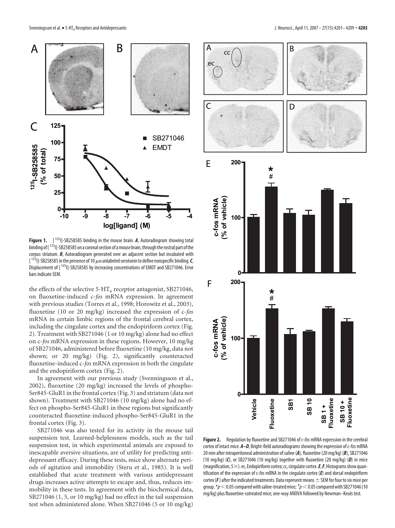

Figure 1. [<sup>125</sup>I]-SB258585 binding in the mouse brain. A, Autoradiogram showing total binding of  $[1^{25}1]$ -SB258585 on a coronal section of a mouse brain, through the rostral part of the corpus striatum. *B*, Autoradiogram generated over an adjacent section but incubated with [ $125$ ]]-SB258585 in the presence of 10  $\mu$ m unlabeled serotonin to define nonspecific binding. C, Displacement of [<sup>125</sup>]]-SB258585 by increasing concentrations of EMDT and SB271046. Error bars indicate SEM.

the effects of the selective  $5-HT_6$  receptor antagonist, SB271046, on fluoxetine-induced c-*fos* mRNA expression. In agreement with previous studies (Torres et al., 1998; Horowitz et al., 2003), fluoxetine (10 or 20 mg/kg) increased the expression of c-*fos* mRNA in certain limbic regions of the frontal cerebral cortex, including the cingulate cortex and the endopiriform cortex (Fig. 2). Treatment with SB271046 (1 or 10 mg/kg) alone had no effect on c-*fos* mRNA expression in these regions. However, 10 mg/kg of SB271046, administered before fluoxetine (10 mg/kg, data not shown; or 20 mg/kg) (Fig. 2), significantly counteracted fluoxetine-induced c-*fos* mRNA expression in both the cingulate and the endopiriform cortex (Fig. 2).

In agreement with our previous study (Svenningsson et al., 2002), fluoxetine (20 mg/kg) increased the levels of phospho-Ser845-GluR1 in the frontal cortex (Fig. 3) and striatum (data not shown). Treatment with SB271046 (10 mg/kg) alone had no effect on phospho-Ser845-GluR1 in these regions but significantly counteracted fluoxetine-induced phospho-Ser845-GluR1 in the frontal cortex (Fig. 3).

SB271046 was also tested for its activity in the mouse tail suspension test. Learned-helplessness models, such as the tail suspension test, in which experimental animals are exposed to inescapable aversive situations, are of utility for predicting antidepressant efficacy. During these tests, mice show alternate periods of agitation and immobility (Steru et al., 1985). It is well established that acute treatment with various antidepressant drugs increases active attempts to escape and, thus, reduces immobility in these tests. In agreement with the biochemical data, SB271046 (1, 5, or 10 mg/kg) had no effect in the tail suspension test when administered alone. When SB271046 (5 or 10 mg/kg)



**Figure 2.** Regulation by fluoxetine and SB271046 of c-*fos* mRNA expression in the cerebral cortex of intact mice. *A–D*, Bright-field autoradiograms showing the expression of c-*fos*mRNA 20 min after intraperitoneal administration of saline (*A*), fluoxetine (20 mg/kg) (*B*), SB271046 (10 mg/kg) (*C*), or SB271046 (10 mg/kg) together with fluoxetine (20 mg/kg) (*D*) in mice (magnification,  $5\times$ ). ec, Endopiriform cortex; cc, cingulate cortex.  $E, F$ , Histograms show quantification of the expression of c-*fos* mRNA in the cingulate cortex (*E*) and dorsal endopiriform cortex ( $F$ ) after the indicated treatments. Data represent means  $\pm$  SEM for four to six mice per group.  $\displaystyle {^*}p$   $<$  0.05 compared with saline-treated mice;  $\displaystyle {^*}p$   $<$  0.05 compared with SB271046 (10 mg/kg) plus fluoxetine-cotreated mice; one-way ANOVA followed by Newman–Keuls test.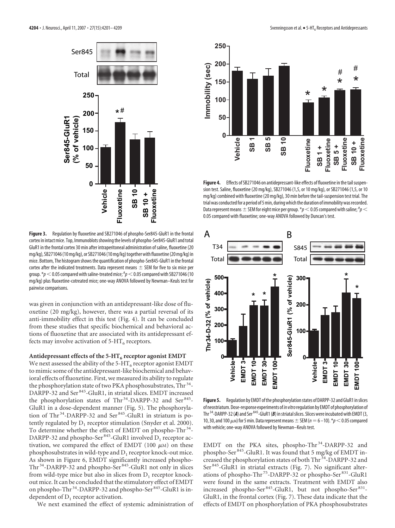

**Figure 3.** Regulation by fluoxetine and SB271046 of phospho-Ser845-GluR1 in the frontal cortex in intact mice. Top, Immunoblots showing the levels of phospho-Ser845-GluR1 and total GluR1 in the frontal cortex 30 min after intraperitoneal administration of saline, fluoxetine (20 mg/kg), SB271046 (10 mg/kg), or SB271046 (10 mg/kg) together with fluoxetine (20 mg/kg) in mice. Bottom, The histogram shows the quantification of phospho-Ser845-GluR1 in the frontal cortex after the indicated treatments. Data represent means  $\pm$  SEM for five to six mice per group.  $\displaystyle {^*}p <$  0.05 compared with saline-treated mice;  $^{\rm \#}p$   $<$  0.05 compared with SB271046 (10 mg/kg) plus fluoxetine-cotreated mice; one-way ANOVA followed by Newman–Keuls test for pairwise comparisons.

was given in conjunction with an antidepressant-like dose of fluoxetine (20 mg/kg), however, there was a partial reversal of its anti-immobility effect in this test (Fig. 4). It can be concluded from these studies that specific biochemical and behavioral actions of fluoxetine that are associated with its antidepressant effects may involve activation of  $5-HT_6$  receptors.

#### Antidepressant effects of the 5-HT<sub>6</sub> receptor agonist EMDT

We next assessed the ability of the  $5-HT_6$  receptor agonist EMDT to mimic some of the antidepressant-like biochemical and behavioral effects of fluoxetine. First, we measured its ability to regulate the phosphorylation state of two PKA phosphosubstrates, Thr<sup>34</sup>-DARPP-32 and Ser 845-GluR1, in striatal slices. EMDT increased the phosphorylation states of Thr<sup>34</sup>-DARPP-32 and Ser<sup>845</sup>-GluR1 in a dose-dependent manner (Fig. 5). The phosphorylation of Thr<sup>34</sup>-DARPP-32 and Ser<sup>845</sup>-GluR1 in striatum is potently regulated by  $D_1$  receptor stimulation (Snyder et al. 2000). To determine whether the effect of EMDT on phospho-Thr<sup>34</sup>-DARPP-32 and phospho-Ser<sup>845</sup>-GluR1 involved  $D_1$  receptor activation, we compared the effect of EMDT (100  $\mu$ M) on these phosphosubstrates in wild-type and  $D_1$  receptor knock-out mice. As shown in Figure 6, EMDT significantly increased phospho-Thr<sup>34</sup>-DARPP-32 and phospho-Ser<sup>845</sup>-GluR1 not only in slices from wild-type mice but also in slices from  $D_1$  receptor knockout mice. It can be concluded that the stimulatory effect of EMDT on phospho-Thr<sup>34</sup>-DARPP-32 and phospho-Ser<sup>845</sup>-GluR1 is independent of  $D_1$  receptor activation.

We next examined the effect of systemic administration of



Figure 4. Effects of SB271046 on antidepressant-like effects of fluoxetine in the tail suspension test. Saline, fluoxetine (20 mg/kg), SB271046 (1,5, or 10 mg/kg), or SB271046 (1,5, or 10 mg/kg) combined with fluoxetine (20 mg/kg), 30 min before the tail-suspension test trial. The trial was conducted for a period of 5 min, during which the duration of immobility was recorded. Data represent means  $\pm$  SEM for eight mice per group. \* $p$   $<$  0.05 compared with saline;  $^{\textit{\#}}p$   $<$ 0.05 compared with fluoxetine; one-way ANOVA followed by Duncan's test.



**Figure 5.** Regulation by EMDT of the phosphorylation states of DARPP-32 and GluR1 in slices of neostriatum.Dose-response experiments of*in vitro*regulation by EMDT of phosphorylation of Thr <sup>34</sup>-DARPP-32 (A) and Ser <sup>845</sup>-GluR1 (B) in striatal slices. Slices were incubated with EMDT (3, 10, 30, and 100  $\mu$ <sub>M</sub>) for 5 min. Data represent means  $\pm$  SEM ( $n=6$  –10).  $*p<$  0.05 compared with vehicle; one-way ANOVA followed by Newman–Keuls test.

EMDT on the PKA sites, phospho-Thr<sup>34</sup>-DARPP-32 and phospho-Ser 845-GluR1. It was found that 5 mg/kg of EMDT increased the phosphorylation states of both Thr 34-DARPP-32 and Ser 845-GluR1 in striatal extracts (Fig. 7). No significant alterations of phospho-Thr 75-DARPP-32 or phospho-Ser 831-GluR1 were found in the same extracts. Treatment with EMDT also increased phospho-Ser<sup>845</sup>-GluR1, but not phospho-Ser<sup>831</sup>-GluR1, in the frontal cortex (Fig. 7). These data indicate that the effects of EMDT on phosphorylation of PKA phosphosubstrates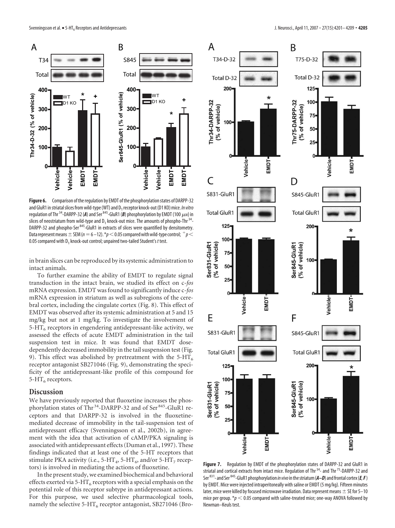

**Figure 6.** Comparison of the regulation by EMDT of the phosphorylation states of DARPP-32 and GluR1 in striatal slices from wild-type (WT) and D<sub>1</sub> receptor knock-out (D1 KO) mice. *In vitro* regulation of Thr<sup>34</sup>-DARPP-32 (A) and Ser<sup>845</sup>-GluR1 (B) phosphorylation by EMDT (100  $\mu$ m) in slices of neostriatum from wild-type and  $D_1$  knock-out mice. The amounts of phospho-Thr<sup>34</sup>-DARPP-32 and phospho-Ser<sup>845</sup>-GluR1 in extracts of slices were quantified by densitometry. Data represent means  $\pm$  SEM ( $n=6$  –12).  $*p$  < 0.05 compared with wild-type control;  $+p$  < 0.05 compared with D<sub>1</sub> knock-out control; unpaired two-tailed Student's *t* test.

in brain slices can be reproduced by its systemic administration to intact animals.

To further examine the ability of EMDT to regulate signal transduction in the intact brain, we studied its effect on c-*fos* mRNA expression. EMDT was found to significantly induce c-*fos* mRNA expression in striatum as well as subregions of the cerebral cortex, including the cingulate cortex (Fig. 8). This effect of EMDT was observed after its systemic administration at 5 and 15 mg/kg but not at 1 mg/kg. To investigate the involvement of  $5-HT<sub>6</sub>$  receptors in engendering antidepressant-like activity, we assessed the effects of acute EMDT administration in the tail suspension test in mice. It was found that EMDT dosedependently decreased immobility in the tail suspension test (Fig. 9). This effect was abolished by pretreatment with the 5-HT<sub>6</sub> receptor antagonist SB271046 (Fig. 9), demonstrating the specificity of the antidepressant-like profile of this compound for 5-HT<sub>6</sub> receptors.

## **Discussion**

We have previously reported that fluoxetine increases the phosphorylation states of Thr<sup>34</sup>-DARPP-32 and of Ser<sup>845</sup>-GluR1 receptors and that DARPP-32 is involved in the fluoxetinemediated decrease of immobility in the tail-suspension test of antidepressant efficacy (Svenningsson et al., 2002b), in agreement with the idea that activation of cAMP/PKA signaling is associated with antidepressant effects (Duman et al., 1997). These findings indicated that at least one of the 5-HT receptors that stimulate PKA activity (i.e., 5-HT<sub>4</sub>, 5-HT<sub>6</sub>, and/or 5-HT<sub>7</sub> receptors) is involved in mediating the actions of fluoxetine.

In the present study, we examined biochemical and behavioral effects exerted via 5-HT<sub>6</sub> receptors with a special emphasis on the potential role of this receptor subtype in antidepressant actions. For this purpose, we used selective pharmacological tools, namely the selective  $5-HT_6$  receptor antagonist, SB271046 (Bro-



**Figure 7.** Regulation by EMDT of the phosphorylation states of DARPP-32 and GluR1 in striatal and cortical extracts from intact mice. Regulation of Thr<sup>34</sup>- and Thr<sup>75</sup>-DARPP-32 and Ser831- and Ser845-GluR1 phosphorylation *in vivo*inthestriatum(*A–D*) andfrontal cortex(*E,F*) by EMDT. Mice were injected intraperitoneally with saline or EMDT (5 mg/kg). Fifteen minutes later, mice were killed by focused microwave irradiation. Data represent means  $\pm$  SE for 5–10 mice per group.  $*_p$  < 0.05 compared with saline-treated mice; one-way ANOVA followed by Newman–Keuls test.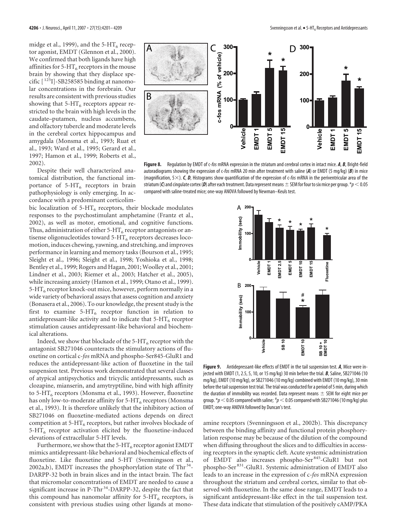midge et al., 1999), and the 5-HT<sub>6</sub> receptor agonist, EMDT (Glennon et al., 2000). We confirmed that both ligands have high affinities for 5-HT<sub>6</sub> receptors in the mouse brain by showing that they displace specific  $[$ <sup>125</sup>I]-SB258585 binding at nanomolar concentrations in the forebrain. Our results are consistent with previous studies showing that  $5-HT_6$  receptors appear restricted to the brain with high levels in the caudate–putamen, nucleus accumbens, and olfactory tubercle and moderate levels in the cerebral cortex hippocampus and amygdala (Monsma et al., 1993; Ruat et al., 1993; Ward et al., 1995; Gerard et al., 1997; Hamon et al., 1999; Roberts et al., 2002).

Despite their well characterized anatomical distribution, the functional importance of  $5-HT_6$  receptors in brain pathophysiology is only emerging. In accordance with a predominant corticolim-

bic localization of  $5-HT_6$  receptors, their blockade modulates responses to the psychostimulant amphetamine (Frantz et al., 2002), as well as motor, emotional, and cognitive functions. Thus, administration of either  $5-HT_6$  receptor antagonists or antisense oligonucleotides toward  $5-HT<sub>6</sub>$  receptors decreases locomotion, induces chewing, yawning, and stretching, and improves performance in learning and memory tasks (Bourson et al., 1995; Sleight et al., 1996; Sleight et al., 1998; Yoshioka et al., 1998; Bentley et al., 1999; Rogers and Hagan, 2001; Woolley et al., 2001; Lindner et al., 2003; Riemer et al., 2003; Hatcher et al., 2005), while increasing anxiety (Hamon et al., 1999; Otano et al., 1999).  $5-HT<sub>6</sub>$  receptor knock-out mice, however, perform normally in a wide variety of behavioral assays that assess cognition and anxiety (Bonasera et al., 2006). To our knowledge, the present study is the first to examine 5-HT<sub>6</sub> receptor function in relation to antidepressant-like activity and to indicate that  $5-HT<sub>6</sub>$  receptor stimulation causes antidepressant-like behavioral and biochemical alterations.

Indeed, we show that blockade of the  $5-HT_6$  receptor with the antagonist SB271046 counteracts the stimulatory actions of fluoxetine on cortical c-*fos* mRNA and phospho-Ser845-GluR1 and reduces the antidepressant-like action of fluoxetine in the tail suspension test. Previous work demonstrated that several classes of atypical antipsychotics and tricyclic antidepressants, such as clozapine, mianserin, and amytryptiline, bind with high affinity to 5-HT<sub>6</sub> receptors (Monsma et al., 1993). However, fluoxetine has only low-to-moderate affinity for  $5-HT<sub>6</sub>$  receptors (Monsma et al., 1993). It is therefore unlikely that the inhibitory action of SB271046 on fluoxetine-mediated actions depends on direct competition at  $5-HT_6$  receptors, but rather involves blockade of  $5-HT<sub>6</sub>$  receptor activation elicited by the fluoxetine-induced elevations of extracellular 5-HT levels.

Furthermore, we show that the 5-HT<sub>6</sub> receptor agonist EMDT mimics antidepressant-like behavioral and biochemical effects of fluoxetine. Like fluoxetine and 5-HT (Svenningsson et al., 2002a,b), EMDT increases the phosphorylation state of Thr<sup>34</sup>-DARPP-32 both in brain slices and in the intact brain. The fact that micromolar concentrations of EMDT are needed to cause a significant increase in P-Thr<sup>34</sup>-DARPP-32, despite the fact that this compound has nanomolar affinity for  $5-HT_6$  receptors, is consistent with previous studies using other ligands at mono-



**Figure 8.** Regulation by EMDT of c-*fos* mRNA expression in the striatum and cerebral cortex in intact mice. *A*, *B*, Bright-field autoradiograms showing the expression of c-*fos* mRNA 20 min after treatment with saline (*A*) or EMDT (5 mg/kg) (*B*) in mice (magnification,  $5 \times$ ). *C*, *D*, Histograms show quantification of the expression of c-*fos* mRNA in the periventricular area of the striatum (*C*) and cingulate cortex (*D*) after each treatment. Data represent means  $\pm$  SEM for four to six mice per group. \**p* < 0.05 compared with saline-treated mice; one-way ANOVA followed by Newman–Keuls test.



**Figure 9.** Antidepressant-like effects of EMDT in the tail suspension test. *A*, Mice were injected with EMDT (1, 2.5, 5, 10, or 15 mg/kg) 30 min before the trial. *B*, Saline, SB271046 (10 mg/kg), EMDT (10 mg/kg), or SB271046 (10 mg/kg) combined with EMDT (10 mg/kg), 30 min before the tail suspension test trial. The trial was conducted for a period of 5 min, during which the duration of immobility was recorded. Data represent means  $\pm$  SEM for eight mice per group.  $\displaystyle{{*}_p<}$  0.05 compared with saline;  $\displaystyle{{*}_p<}$  0.05 compared with SB271046 (10 mg/kg) plus EMDT; one-way ANOVA followed by Duncan's test.

amine receptors (Svenningsson et al., 2002b). This discrepancy between the binding affinity and functional protein phosphorylation response may be because of the dilution of the compound when diffusing throughout the slices and to difficulties in accessing receptors in the synaptic cleft. Acute systemic administration of EMDT also increases phospho-Ser 845-GluR1 but not phospho-Ser 831-GluR1. Systemic administration of EMDT also leads to an increase in the expression of c-*fos* mRNA expression throughout the striatum and cerebral cortex, similar to that observed with fluoxetine. In the same dose range, EMDT leads to a significant antidepressant-like effect in the tail suspension test. These data indicate that stimulation of the positively cAMP/PKA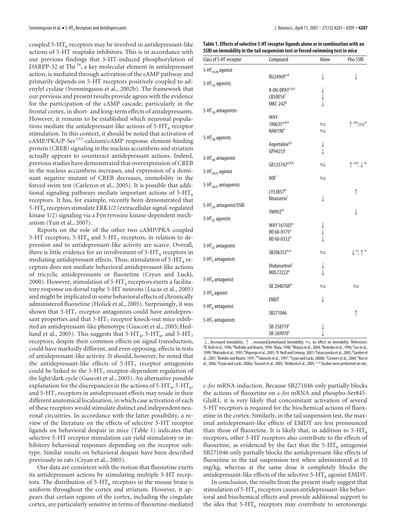coupled 5-HT $_6$  receptors may be involved in antidepressant-like actions of 5-HT reuptake inhibitors. This is in accordance with our previous findings that 5-HT-induced phosphorylation of DARPP-32 at Thr<sup>34</sup>, a key molecular element in antidepressant action, is mediated through activation of the cAMP pathway and primarily depends on 5-HT receptors positively coupled to adenylyl cyclase (Svenningsson et al., 2002b). The framework that our previous and present results provide agrees with the evidence for the participation of the cAMP cascade, particularly in the frontal cortex, in short- and long-term effects of antidepressants. However, it remains to be established which neuronal populations mediate the antidepressant-like actions of  $5-HT<sub>6</sub>$  receptor stimulation. In this context, it should be noted that activation of cAMP/PKA/P-Ser<sup>133</sup>-calcium/cAMP response element-binding protein (CREB) signaling in the nucleus accumbens and striatum actually appears to counteract antidepressant actions. Indeed, previous studies have demonstrated that overexpression of CREB in the nucleus accumbens increases, and expression of a dominant negative mutant of CREB decreases, immobility in the forced swim test (Carlezon et al., 2005). It is possible that additional signaling pathways mediate important actions of  $5-HT_6$ receptors. It has, for example, recently been demonstrated that  $5-HT<sub>6</sub>$  receptors stimulate ERK1/2 (extracellular signal-regulated kinase 1/2) signaling via a Fyn tyrosine kinase-dependent mechanism (Yun et al., 2007).

Reports on the role of the other two cAMP/PKA coupled 5-HT receptors, 5-HT<sub>4</sub> and 5-HT<sub>7</sub> receptors, in relation to depression and to antidepressant-like activity are scarce. Overall, there is little evidence for an involvement of  $5-HT_4$  receptors in mediating antidepressant effects. Thus, stimulation of  $5-HT_4$  receptors does not mediate behavioral antidepressant-like actions of tricyclic antidepressants or fluoxetine (Cryan and Lucki, 2000). However, stimulation of  $5-HT_4$  receptors exerts a facilitatory response on dorsal raphe 5-HT neurons (Lucas et al., 2005) and might be implicated in some behavioral effects of chronically administered fluoxetine (Holick et al., 2005). Surprisingly, it was shown that  $5-HT<sub>7</sub>$  receptor antagonists could have antidepressant properties and that  $5-HT<sub>7</sub>$  receptor knock-out mice exhibited an antidepressant-like phenotype (Guscott et al., 2005; Hedlund et al., 2005). This suggests that 5-HT<sub>4</sub>, 5-HT<sub>6</sub>, and 5-HT<sub>7</sub> receptors, despite their common effects on signal transduction, could have markedly different, and even opposing, effects in tests of antidepressant-like activity. It should, however, be noted that the antidepressant-like effects of  $5-HT<sub>7</sub>$  receptor antagonists could be linked to the 5-HT<sub>7</sub> receptor-dependent regulation of the light/dark cycle (Guscott et al., 2005). An alternative possible explanation for the discrepancies in the actions of  $5-HT_4$ ,  $5-HT_6$ , and  $5-HT<sub>7</sub>$  receptors in antidepressant effects may reside in their different anatomical localization, in which case activation of each of these receptors would stimulate distinct and independent neuronal circuitries. In accordance with the latter possibility, a review of the literature on the effects of selective 5-HT receptor ligands on behavioral despair in mice (Table 1) indicates that selective 5-HT receptor stimulation can yield stimulatory or inhibitory behavioral responses depending on the receptor subtype. Similar results on behavioral despair have been described previously in rats (Cryan et al., 2005).

Our data are consistent with the notion that fluoxetine exerts its antidepressant actions by stimulating multiple 5-HT receptors. The distribution of  $5-HT_6$  receptors in the mouse brain is uniform throughout the cortex and striatum. However, it appears that certain regions of the cortex, including the cingulate cortex, are particularly sensitive in terms of fluoxetine-mediated

**Table 1. Effects of selective 5-HT receptor ligands alone or in combination with an SSRI on immobility in the tail suspension test or forced swimming test in mice**

| Class of 5-HT receptor             | Compound                     | Alone                                                                 | Plus SSRI                                                 |
|------------------------------------|------------------------------|-----------------------------------------------------------------------|-----------------------------------------------------------|
| 5-HT <sub>1A/B</sub> agonist       |                              |                                                                       |                                                           |
|                                    | RU24969a,b                   | ↓                                                                     | ↓                                                         |
| 5-HT <sub>1A</sub> agonists        |                              |                                                                       |                                                           |
|                                    | 8-OH-DPAT <sup>c, d, e</sup> |                                                                       |                                                           |
|                                    | LB50016 <sup>f</sup>         | $\begin{array}{c} \downarrow \\ \downarrow \\ \downarrow \end{array}$ |                                                           |
|                                    | MKC-242 $g$                  |                                                                       |                                                           |
| 5-HT <sub>1A</sub> antagonists     |                              |                                                                       |                                                           |
|                                    | WAY-                         |                                                                       |                                                           |
|                                    | $100635^{a,d,h}$             | ⇆                                                                     | $\uparrow$ d <sub>h</sub> <sub>;<math>\leq a</math></sub> |
|                                    | NAN190 <sup>e</sup>          | $\leftrightarrows$                                                    |                                                           |
| 5-HT <sub>1B</sub> agonists        |                              |                                                                       |                                                           |
|                                    | Anpirtolineb,i               | ↓                                                                     |                                                           |
|                                    | GP94253 $\overline{3}$       |                                                                       |                                                           |
| 5-HT <sub>1B</sub> antagonist      |                              |                                                                       |                                                           |
|                                    | GR125743a,h,k                | ⇆                                                                     | $\uparrow$ <sup>a,k</sup> ; $\downarrow$ <sup>h</sup>     |
| 5-HT <sub>2A/C</sub> agonist       |                              |                                                                       |                                                           |
|                                    | DOI'                         | ⇆                                                                     |                                                           |
| 5-HT <sub>2A/C</sub> antagonists   |                              |                                                                       |                                                           |
|                                    | LY53857 $d$                  |                                                                       | ↑                                                         |
|                                    | Ritanserin'                  | ↓                                                                     |                                                           |
| 5-HT <sub>2A</sub> antagonist/SSRI |                              |                                                                       |                                                           |
|                                    | YM992 $^m$                   |                                                                       | ↓                                                         |
| 5-HT <sub>2C</sub> agonists        |                              |                                                                       |                                                           |
|                                    | WAY 161503"                  |                                                                       |                                                           |
|                                    | $RO 60-0175n$                |                                                                       |                                                           |
|                                    | RO 60-0332"                  |                                                                       |                                                           |
| 5-HT <sub>2C</sub> antagonist      |                              |                                                                       |                                                           |
|                                    | SB206553 <sup>n,o</sup>      | ⇆                                                                     | $\bigcup_{i=1}^{n} a_i$                                   |
| 5-HT <sub>3</sub> antagonists      |                              |                                                                       |                                                           |
|                                    | Ondansetron <sup>/</sup>     | ↓                                                                     |                                                           |
|                                    | MDL72222 <sup>p</sup>        |                                                                       |                                                           |
| 5-HT <sub>4</sub> antagonist       |                              |                                                                       |                                                           |
|                                    | SB 204070A <sup>9</sup>      | ⇆                                                                     | ⇆                                                         |
| 5-HT <sub>6</sub> agonist          |                              |                                                                       |                                                           |
|                                    | <b>EMDT</b>                  | ↓                                                                     |                                                           |
| 5-HT <sub>6</sub> antagonist       |                              |                                                                       |                                                           |
|                                    | SB271046                     |                                                                       | ↑                                                         |
| 5-HT <sub>7</sub> antagonists      |                              |                                                                       |                                                           |
|                                    | SB-258719"                   |                                                                       |                                                           |
|                                    | SB-269970 <sup>s</sup>       | Ĵ                                                                     |                                                           |

 $\downarrow$  , Decreased immobility; ↑ , increased/potentiated immobility;  $\leftrightharpoons$ , no effect on immobility. References:<br>"O´Neill et al., 1996; ''Redrobe and Bourin, 1999; ''Biala, 1998; ''Miyata et al., 2004; ''Redrobe et al., 1999; <sup>g</sup>Matsuda et al., 1995; <sup>h</sup>Mayorga et al., 2001; <sup>'</sup>O´Neill and Conway, 2001; <sup>/</sup>Tatarczynska et al., 2005; <sup>k</sup>Gardier et al., 2001; 'Redobe and Bourin, 1997; <sup>m</sup>Takeuchi et al., 1997; "Cryan and Lucki, 2000b; <sup>o</sup>Cremers et al., 2004; <sup>p</sup>Kos et al., 2006; <sup>q</sup>Cryan and Lucki, 2000a; 'Guscott et al., 2005; <sup>s</sup>Hedlund et al., 2005. <sup>n, q</sup> Studies were performed on rats.

c-*fos* mRNA induction. Because SB271046 only partially blocks the actions of fluoxetine on c-*fos* mRNA and phospho-Ser845- GluR1, it is very likely that concomitant activation of several 5-HT receptors is required for the biochemical actions of fluoxetine in the cortex. Similarly, in the tail suspension test, the maximal antidepressant-like effects of EMDT are less pronounced than those of fluoxetine. It is likely that, in addition to  $5-HT<sub>6</sub>$ receptors, other 5-HT receptors also contribute to the effects of fluoxetine, as evidenced by the fact that the  $5-HT<sub>6</sub>$  antagonist SB271046 only partially blocks the antidepressant-like effects of fluoxetine in the tail suspension test when administered at 10 mg/kg, whereas at the same dose it completely blocks the antidepressant-like effects of the selective  $5-HT<sub>6</sub>$  agonist EMDT.

In conclusion, the results from the present study suggest that stimulation of  $5-HT<sub>6</sub>$  receptors causes antidepressant-like behavioral and biochemical effects and provide additional support to the idea that  $5-HT<sub>6</sub>$  receptors may contribute to serotonergic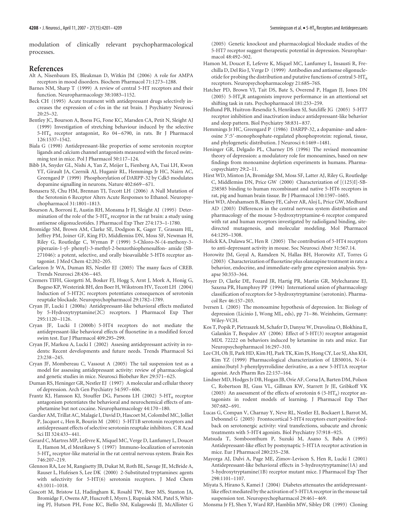modulation of clinically relevant psychopharmacological processes.

#### **References**

- Alt A, Nisenbaum ES, Bleakman D, Witkin JM (2006) A role for AMPA receptors in mood disorders. Biochem Pharmacol 71:1273–1288.
- Barnes NM, Sharp T (1999) A review of central 5-HT receptors and their function. Neuropharmacology 38:1083–1152.
- Beck CH (1995) Acute treatment with antidepressant drugs selectively increases the expression of c-fos in the rat brain. J Psychiatry Neurosci  $20:25-32.$
- Bentley JC, Bourson A, Boess FG, Fone KC, Marsden CA, Petit N, Sleight AJ (1999) Investigation of stretching behaviour induced by the selective  $5-\text{HT}_6$  receptor antagonist, Ro 04-6790, in rats. Br J Pharmacol 126:1537–1542.
- Biala G (1998) Antidepressant-like properties of some serotonin receptor ligands and calcium channel antagonists measured with the forced swimming test in mice. Pol J Pharmacol 50:117–124.
- Bibb JA, Snyder GL, Nishi A, Yan Z, Meijer L, Fienberg AA, Tsai LH, Kwon YT, Girault JA, Czernik AJ, Huganir RL, Hemmings Jr HC, Nairn AC, Greengard P (1999) Phosphorylation of DARPP-32 by Cdk5 modulates dopamine signalling in neurons. Nature 402:669 –671.
- Bonasera SJ, Chu HM, Brennan TJ, Tecott LH (2006) A Null Mutation of the Serotonin 6 Receptor Alters Acute Responses to Ethanol. Neuropsychopharmacol 31:1801–1813.
- Bourson A, Borroni E, Austin RH, Monsma Jr FJ, Sleight AJ (1995) Determination of the role of the 5-HT<sub>6</sub> receptor in the rat brain: a study using antisense oligonucleotides. J Pharmacol Exp Ther 274:173–1-1780.
- Bromidge SM, Brown AM, Clarke SE, Dodgson K, Gager T, Grassam HL, Jeffrey PM, Joiner GF, King FD, Middlemiss DN, Moss SF, Newman H, Riley G, Routledge C, Wyman P (1999) 5-Chloro-N-(4-methoxy-3 piperazin-1-yl- phenyl)-3-methyl-2-benzothiophenesulfon- amide (SB-271046): a potent, selective, and orally bioavailable 5-HT6 receptor antagonist. J Med Chem 42:202–205.
- Carlezon Jr WA, Duman RS, Nestler EJ (2005) The many faces of CREB. Trends Neurosci 28:436 –445.
- Cremers TIFH, Giorgetti M, Bosker FJ, Hogg S, Arnt J, Mork A, Honig G, Bogeso KP, Westerink BH, den Boer H, Wikstrom HV, Tecott LH (2004) Induction of 5-HT2C receptors potentiates consequences of serotonin reuptake blockade. Neuropsychopharmacol 29:1782–1789.
- Cryan JF, Lucki I (2000a) Antidepressant-like behavioral effects mediated by 5-Hydroxytryptamine(2C) receptors. J Pharmacol Exp Ther 295:1120 –1126.
- Cryan JF, Lucki I (2000b) 5-HT4 receptors do not mediate the antidepressant-like behavioral effects of fluoxetine in a modified forced swim test. Eur J Pharmacol 409:295–299.
- Cryan JF, Markou A, Lucki I (2002) Assesing antidepressant activity in rodents: Recent developments and future needs. Trends Pharmacol Sci 23:238 –245.
- Cryan JF, Mombereau C, Vassout A (2005) The tail suspension test as a model for assessing antidepressant activity: review of pharmacological and genetic studies in mice. Neurosci Biobehav Rev 29:571–625.
- Duman RS, Heninger GR, Nestler EJ (1997) A molecular and cellular theory of depression. Arch Gen Psychiatry 54:597–606.
- Frantz KJ, Hansson KJ, Stouffer DG, Parsons LH (2002) 5-HT<sub>6</sub> receptor antagonism potentiates the behavioral and neurochemical effects of amphetamine but not cocaine. Neuropharmacology 44:170 –180.
- Gardier AM, Trillat AC, Malagie I, David D, Hascoet M, Colombel MC, Jolliet P, Jacquot c, Hen R, Bourin M (2001) 5-HT1B serotonin receptors and antidepressant effects of selective serotonin reuptake inhibitors. C R Acad Sci III 324:433–441.
- Gerard C, Martres MP, Lefèvre K, Miquel MC, Verge D, Lanfumey L, Doucet E, Hamon M, el Mestikawy S (1997) Immuno-localization of serotonin  $5-HT<sub>6</sub>$  receptor-like material in the rat central nervous system. Brain Res 746:207–219.
- Glennon RA, Lee M, Rangisetty JB, Dukat M, Roth BL, Savage JE, McBride A, Rauser L, Hufeisen S, Lee DK (2000) 2-Substituted tryptamines: agents with selectivity for 5-HT(6) serotonin receptors. J Med Chem 43:1011–1018.
- Guscott M, Bristow LJ, Hadingham K, Rosahl TW, Beer MS, Stanton JA, Bromidge F, Owens AP, Huscroft I, Myers J, Rupniak NM, Patel S, Whiting PJ, Hutson PH, Fone KC, Biello SM, Kulagowski JJ, McAllister G

(2005) Genetic knockout and pharmacological blockade studies of the 5-HT7 receptor suggest therapeutic potential in depression. Neuropharmacol 48:492–502.

- Hamon M, Doucet E, Lefevre K, Miquel MC, Lanfumey L, Insausti R, Frechilla D, Del Rio J, Verge D (1999) Antibodies and antisense oligonucleotide for probing the distribution and putative functions of central 5-HT $_6$ receptors. Neuropsychopharmacology 21:68S–76S.
- Hatcher PD, Brown VJ, Tait DS, Bate S, Overend P, Hagan JJ, Jones DN (2005) 5-HT<sub>6</sub>R antagonists improve performance in an attentional set shifting task in rats. Psychopharmacol 181:253–259.
- Hedlund PB, Huitron-Resendiz S, Henriksen SJ, Sutcliffe JG (2005) 5-HT7 receptor inhibition and inactivation induce antidepressant-like behavior and sleep pattern. Biol Psychiatry 58:831–837.
- Hemmings Jr HC, Greengard P (1986) DARPP-32, a dopamine- and adenosine 3':5'-monophosphate-regulated phosphoprotein: regional, tissue, and phylogenetic distribution. J Neurosci 6:1469 –1481.
- Heninger GR, Delgado PL, Charney DS (1996) The revised monoamine theory of depression: a modulatory role for monoamines, based on new findings from monoamine depletion experiments in humans. Pharmacopsychiatry 29:2–11.
- Hirst WD, Minton JA, Bromidge SM, Moss SF, Latter AJ, Riley G, Routledge C, Middlemiss DN, Price GW (2000) Characterization of [(125)I]-SB-258585 binding to human recombinant and native 5-HT6 receptors in rat, pig and human brain tissue. Br J Pharmacol 130:1597–1605.
- Hirst WD, Abrahamsen B, Blaney FE, Calver AR, Aloj L, Price GW, Medhurst AD (2003) Differences in the central nervous system distribution and pharmacology of the mouse 5-hydroxytryptamine-6 receptor compared with rat and human receptors investigated by radioligand binding, sitedirected mutagenesis, and molecular modeling. Mol Pharmacol 64:1295–1308.
- Holick KA, Dulawa SC, Hen R (2005) The contribution of 5-HT4 receptors to anti-depressant activity in mouse. Soc Neurosci Abstr 31:567.14.
- Horowitz JM, Goyal A, Ramdeen N, Hallas BH, Horowitz AT, Torres G (2003) Characterization of fluoxetine plus olanzapine treatment in rats: a behavior, endocrine, and immediate-early gene expression analysis. Synapse 50:353–364.
- Hoyer D, Clarke DE, Fozard JR, Hartig PR, Martin GR, Mylecharane EJ, Saxena PR, Humphrey PP (1994) International union of pharmacology classification of receptors for 5-hydroxytryptamine (serotonin). Pharmacol Rev 46:157–203.
- Iversen L (2005) The monoamine hypothesis of depression. In: Biology of depression (Licinio J, Wong ML, eds), pp 71–86. Weinheim, Germany: Wiley-VCH.
- Kos T, Popik P, Pietraszek M, Schafer D, Danysz W, Dravolina O, Blokhina E, Galankin T, Bespalov AY (2006) Effect of 5-HT(3) receptor antagonist MDL 72222 on behaviors induced by ketamine in rats and mice. Eur Neuropsychopharmacol 16:297–310.
- Lee CH, Oh JI, Park HD, Kim HJ, Park TK, Kim JS, Hong CY, Lee SJ, Ahn KH, Kim YZ (1999) Pharmacological characterization of LB50016, N-(4 amino)butyl 3-phenylpyrrolidine derivative, as a new 5-HT1A receptor agonist. Arch Pharm Res 22:157–164.
- Lindner MD, Hodges Jr DB, Hogan JB, Orie AF, Corsa JA, Barten DM, Polson C, Robertson BJ, Guss VL, Gillman KW, Starrett Jr JE, Gribkoff VK (2003) An assessment of the effects of serotonin 6 (5-HT<sub>6</sub>) receptor antagonists in rodent models of learning. J Pharmacol Exp Ther 307:682–691.
- Lucas G, Compan V, Charnay Y, Neve RL, Nestler EJ, Bockaert J, Barrot M, Debonnel G (2005) Frontocortical 5-HT4 receptors exert positive feedback on serotonergic activity: viral transfections, subacute and chronic treatments with 5-HT4 agonists. Biol Psychiatry 57:918 –925.
- Matsuda T, Somboonthum P, Suzuki M, Asano S, Baba A (1995) Antidepressant-like effect by postsynaptic 5-HT1A receptor activation in mice. Eur J Pharmacol 280:235–238.
- Mayorga AJ, Dalvi A, Page ME, Zimov-Levison S, Hen R, Lucki I (2001) Antidepressant-like behavioral effects in 5-hydroxytryptamine(1A) and 5-hydroxytryptamine(1B) receptor mutant mice. J Pharmacol Exp Ther 298:1101–1107.
- Miyata S, Hirano S, Kamei J (2004) Diabetes attenuates the antidepressantlike effect mediated by the activation of 5-HT1A receptor in the mouse tail suspension test. Neuropsychopharmacol 29:461–469.
- Monsma Jr FJ, Shen Y, Ward RP, Hamblin MW, Sibley DR (1993) Cloning